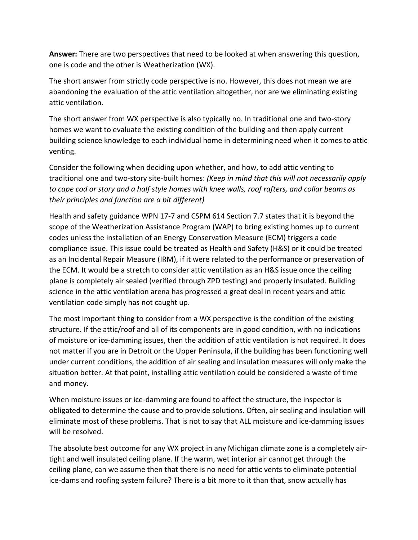**Answer:** There are two perspectives that need to be looked at when answering this question, one is code and the other is Weatherization (WX).

The short answer from strictly code perspective is no. However, this does not mean we are abandoning the evaluation of the attic ventilation altogether, nor are we eliminating existing attic ventilation.

The short answer from WX perspective is also typically no. In traditional one and two-story homes we want to evaluate the existing condition of the building and then apply current building science knowledge to each individual home in determining need when it comes to attic venting.

Consider the following when deciding upon whether, and how, to add attic venting to traditional one and two-story site-built homes: *(Keep in mind that this will not necessarily apply to cape cod or story and a half style homes with knee walls, roof rafters, and collar beams as their principles and function are a bit different)*

Health and safety guidance WPN 17-7 and CSPM 614 Section 7.7 states that it is beyond the scope of the Weatherization Assistance Program (WAP) to bring existing homes up to current codes unless the installation of an Energy Conservation Measure (ECM) triggers a code compliance issue. This issue could be treated as Health and Safety (H&S) or it could be treated as an Incidental Repair Measure (IRM), if it were related to the performance or preservation of the ECM. It would be a stretch to consider attic ventilation as an H&S issue once the ceiling plane is completely air sealed (verified through ZPD testing) and properly insulated. Building science in the attic ventilation arena has progressed a great deal in recent years and attic ventilation code simply has not caught up.

The most important thing to consider from a WX perspective is the condition of the existing structure. If the attic/roof and all of its components are in good condition, with no indications of moisture or ice-damming issues, then the addition of attic ventilation is not required. It does not matter if you are in Detroit or the Upper Peninsula, if the building has been functioning well under current conditions, the addition of air sealing and insulation measures will only make the situation better. At that point, installing attic ventilation could be considered a waste of time and money.

When moisture issues or ice-damming are found to affect the structure, the inspector is obligated to determine the cause and to provide solutions. Often, air sealing and insulation will eliminate most of these problems. That is not to say that ALL moisture and ice-damming issues will be resolved.

The absolute best outcome for any WX project in any Michigan climate zone is a completely airtight and well insulated ceiling plane. If the warm, wet interior air cannot get through the ceiling plane, can we assume then that there is no need for attic vents to eliminate potential ice-dams and roofing system failure? There is a bit more to it than that, snow actually has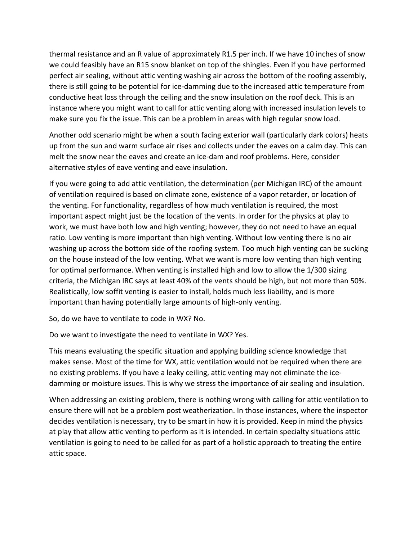thermal resistance and an R value of approximately R1.5 per inch. If we have 10 inches of snow we could feasibly have an R15 snow blanket on top of the shingles. Even if you have performed perfect air sealing, without attic venting washing air across the bottom of the roofing assembly, there is still going to be potential for ice-damming due to the increased attic temperature from conductive heat loss through the ceiling and the snow insulation on the roof deck. This is an instance where you might want to call for attic venting along with increased insulation levels to make sure you fix the issue. This can be a problem in areas with high regular snow load.

Another odd scenario might be when a south facing exterior wall (particularly dark colors) heats up from the sun and warm surface air rises and collects under the eaves on a calm day. This can melt the snow near the eaves and create an ice-dam and roof problems. Here, consider alternative styles of eave venting and eave insulation.

If you were going to add attic ventilation, the determination (per Michigan IRC) of the amount of ventilation required is based on climate zone, existence of a vapor retarder, or location of the venting. For functionality, regardless of how much ventilation is required, the most important aspect might just be the location of the vents. In order for the physics at play to work, we must have both low and high venting; however, they do not need to have an equal ratio. Low venting is more important than high venting. Without low venting there is no air washing up across the bottom side of the roofing system. Too much high venting can be sucking on the house instead of the low venting. What we want is more low venting than high venting for optimal performance. When venting is installed high and low to allow the 1/300 sizing criteria, the Michigan IRC says at least 40% of the vents should be high, but not more than 50%. Realistically, low soffit venting is easier to install, holds much less liability, and is more important than having potentially large amounts of high-only venting.

So, do we have to ventilate to code in WX? No.

Do we want to investigate the need to ventilate in WX? Yes.

This means evaluating the specific situation and applying building science knowledge that makes sense. Most of the time for WX, attic ventilation would not be required when there are no existing problems. If you have a leaky ceiling, attic venting may not eliminate the icedamming or moisture issues. This is why we stress the importance of air sealing and insulation.

When addressing an existing problem, there is nothing wrong with calling for attic ventilation to ensure there will not be a problem post weatherization. In those instances, where the inspector decides ventilation is necessary, try to be smart in how it is provided. Keep in mind the physics at play that allow attic venting to perform as it is intended. In certain specialty situations attic ventilation is going to need to be called for as part of a holistic approach to treating the entire attic space.